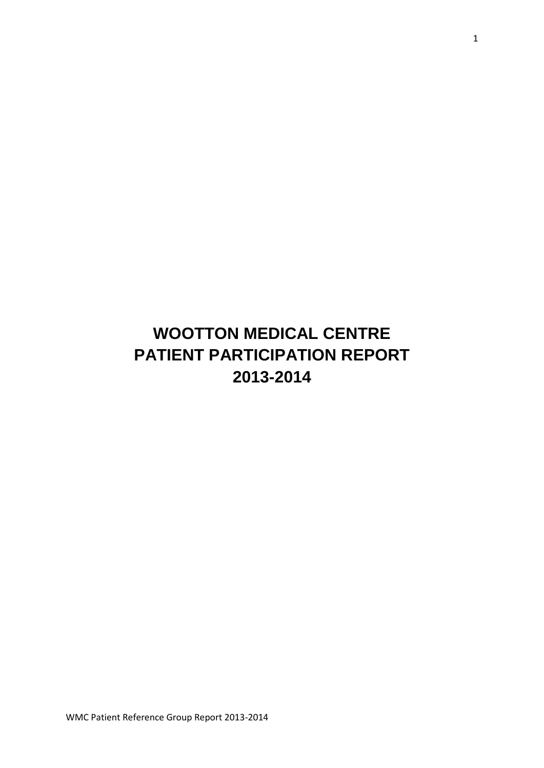# **WOOTTON MEDICAL CENTRE PATIENT PARTICIPATION REPORT 2013-2014**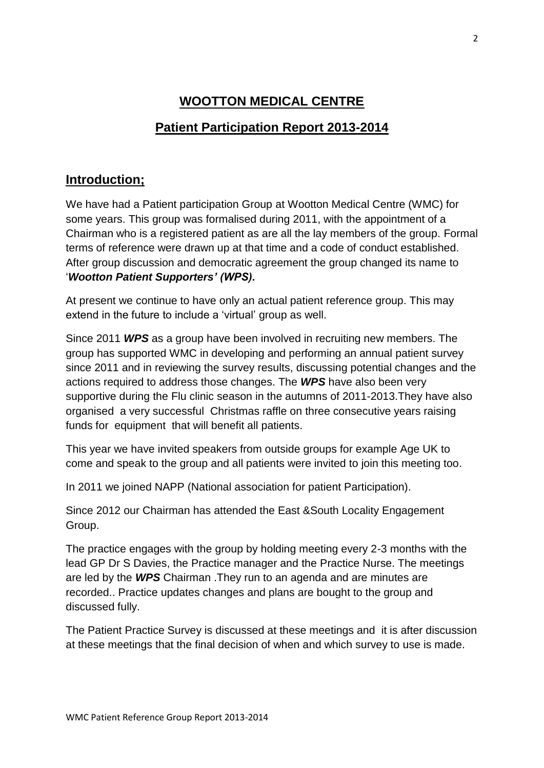# **WOOTTON MEDICAL CENTRE**

# **Patient Participation Report 2013-2014**

### **Introduction;**

We have had a Patient participation Group at Wootton Medical Centre (WMC) for some years. This group was formalised during 2011, with the appointment of a Chairman who is a registered patient as are all the lay members of the group. Formal terms of reference were drawn up at that time and a code of conduct established. After group discussion and democratic agreement the group changed its name to '*Wootton Patient Supporters' (WPS).*

At present we continue to have only an actual patient reference group. This may extend in the future to include a 'virtual' group as well.

Since 2011 *WPS* as a group have been involved in recruiting new members. The group has supported WMC in developing and performing an annual patient survey since 2011 and in reviewing the survey results, discussing potential changes and the actions required to address those changes. The *WPS* have also been very supportive during the Flu clinic season in the autumns of 2011-2013.They have also organised a very successful Christmas raffle on three consecutive years raising funds for equipment that will benefit all patients.

This year we have invited speakers from outside groups for example Age UK to come and speak to the group and all patients were invited to join this meeting too.

In 2011 we joined NAPP (National association for patient Participation).

Since 2012 our Chairman has attended the East &South Locality Engagement Group.

The practice engages with the group by holding meeting every 2-3 months with the lead GP Dr S Davies, the Practice manager and the Practice Nurse. The meetings are led by the *WPS* Chairman .They run to an agenda and are minutes are recorded.. Practice updates changes and plans are bought to the group and discussed fully.

The Patient Practice Survey is discussed at these meetings and it is after discussion at these meetings that the final decision of when and which survey to use is made.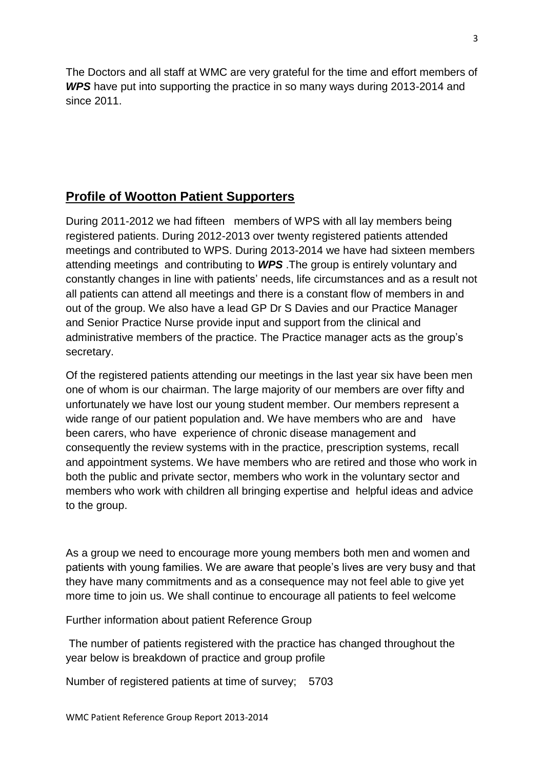The Doctors and all staff at WMC are very grateful for the time and effort members of *WPS* have put into supporting the practice in so many ways during 2013-2014 and since 2011.

# **Profile of Wootton Patient Supporters**

During 2011-2012 we had fifteen members of WPS with all lay members being registered patients. During 2012-2013 over twenty registered patients attended meetings and contributed to WPS. During 2013-2014 we have had sixteen members attending meetings and contributing to *WPS* .The group is entirely voluntary and constantly changes in line with patients' needs, life circumstances and as a result not all patients can attend all meetings and there is a constant flow of members in and out of the group. We also have a lead GP Dr S Davies and our Practice Manager and Senior Practice Nurse provide input and support from the clinical and administrative members of the practice. The Practice manager acts as the group's secretary.

Of the registered patients attending our meetings in the last year six have been men one of whom is our chairman. The large majority of our members are over fifty and unfortunately we have lost our young student member. Our members represent a wide range of our patient population and. We have members who are and have been carers, who have experience of chronic disease management and consequently the review systems with in the practice, prescription systems, recall and appointment systems. We have members who are retired and those who work in both the public and private sector, members who work in the voluntary sector and members who work with children all bringing expertise and helpful ideas and advice to the group.

As a group we need to encourage more young members both men and women and patients with young families. We are aware that people's lives are very busy and that they have many commitments and as a consequence may not feel able to give yet more time to join us. We shall continue to encourage all patients to feel welcome

Further information about patient Reference Group

The number of patients registered with the practice has changed throughout the year below is breakdown of practice and group profile

Number of registered patients at time of survey; 5703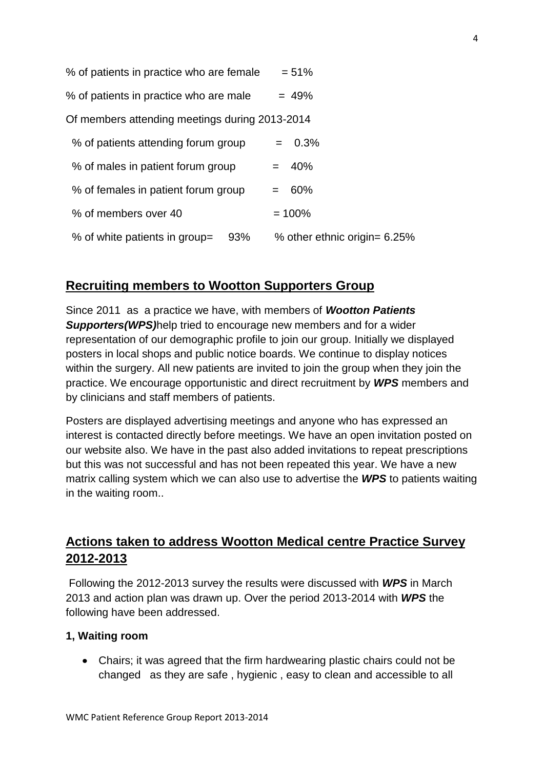| % of patients in practice who are female       | $= 51%$                      |
|------------------------------------------------|------------------------------|
| % of patients in practice who are male         | $= 49%$                      |
| Of members attending meetings during 2013-2014 |                              |
| % of patients attending forum group            | $= 0.3\%$                    |
| % of males in patient forum group              | $= 40%$                      |
| % of females in patient forum group            | 60%<br>$=$ $-$               |
| % of members over 40                           | $= 100%$                     |
| % of white patients in group=<br>93%           | % other ethnic origin= 6.25% |

### **Recruiting members to Wootton Supporters Group**

Since 2011 as a practice we have, with members of *Wootton Patients Supporters(WPS)*help tried to encourage new members and for a wider representation of our demographic profile to join our group. Initially we displayed posters in local shops and public notice boards. We continue to display notices within the surgery. All new patients are invited to join the group when they join the practice. We encourage opportunistic and direct recruitment by *WPS* members and by clinicians and staff members of patients.

Posters are displayed advertising meetings and anyone who has expressed an interest is contacted directly before meetings. We have an open invitation posted on our website also. We have in the past also added invitations to repeat prescriptions but this was not successful and has not been repeated this year. We have a new matrix calling system which we can also use to advertise the *WPS* to patients waiting in the waiting room..

# **Actions taken to address Wootton Medical centre Practice Survey 2012-2013**

Following the 2012-2013 survey the results were discussed with *WPS* in March 2013 and action plan was drawn up. Over the period 2013-2014 with *WPS* the following have been addressed.

#### **1, Waiting room**

• Chairs; it was agreed that the firm hardwearing plastic chairs could not be changed as they are safe , hygienic , easy to clean and accessible to all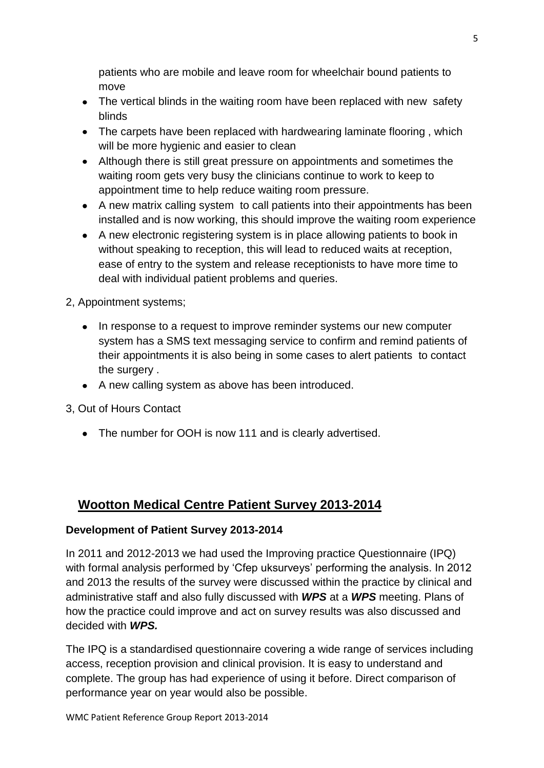patients who are mobile and leave room for wheelchair bound patients to move

- The vertical blinds in the waiting room have been replaced with new safety blinds
- The carpets have been replaced with hardwearing laminate flooring, which will be more hygienic and easier to clean
- Although there is still great pressure on appointments and sometimes the waiting room gets very busy the clinicians continue to work to keep to appointment time to help reduce waiting room pressure.
- A new matrix calling system to call patients into their appointments has been installed and is now working, this should improve the waiting room experience
- A new electronic registering system is in place allowing patients to book in without speaking to reception, this will lead to reduced waits at reception, ease of entry to the system and release receptionists to have more time to deal with individual patient problems and queries.

2, Appointment systems;

- In response to a request to improve reminder systems our new computer system has a SMS text messaging service to confirm and remind patients of their appointments it is also being in some cases to alert patients to contact the surgery .
- A new calling system as above has been introduced.

3, Out of Hours Contact

The number for OOH is now 111 and is clearly advertised.

# **Wootton Medical Centre Patient Survey 2013-2014**

### **Development of Patient Survey 2013-2014**

In 2011 and 2012-2013 we had used the Improving practice Questionnaire (IPQ) with formal analysis performed by 'Cfep uksurveys' performing the analysis. In 2012 and 2013 the results of the survey were discussed within the practice by clinical and administrative staff and also fully discussed with *WPS* at a *WPS* meeting. Plans of how the practice could improve and act on survey results was also discussed and decided with *WPS.*

The IPQ is a standardised questionnaire covering a wide range of services including access, reception provision and clinical provision. It is easy to understand and complete. The group has had experience of using it before. Direct comparison of performance year on year would also be possible.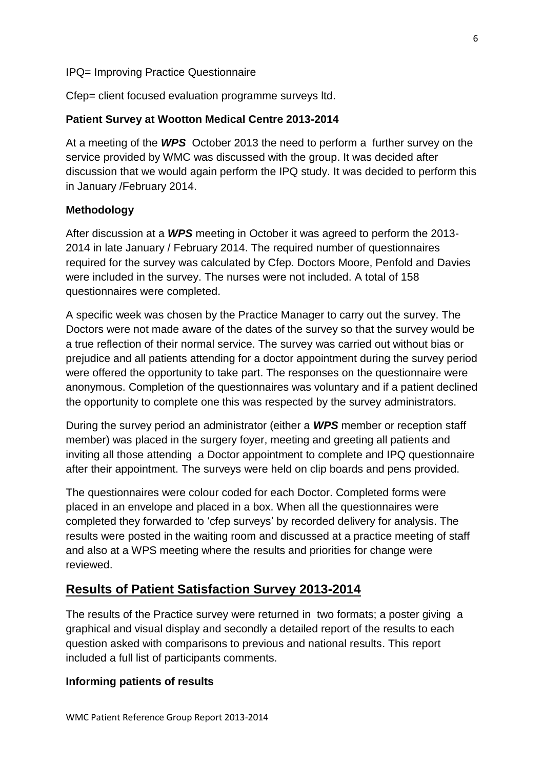#### IPQ= Improving Practice Questionnaire

Cfep= client focused evaluation programme surveys ltd.

#### **Patient Survey at Wootton Medical Centre 2013-2014**

At a meeting of the *WPS* October 2013 the need to perform a further survey on the service provided by WMC was discussed with the group. It was decided after discussion that we would again perform the IPQ study. It was decided to perform this in January /February 2014.

#### **Methodology**

After discussion at a *WPS* meeting in October it was agreed to perform the 2013- 2014 in late January / February 2014. The required number of questionnaires required for the survey was calculated by Cfep. Doctors Moore, Penfold and Davies were included in the survey. The nurses were not included. A total of 158 questionnaires were completed.

A specific week was chosen by the Practice Manager to carry out the survey. The Doctors were not made aware of the dates of the survey so that the survey would be a true reflection of their normal service. The survey was carried out without bias or prejudice and all patients attending for a doctor appointment during the survey period were offered the opportunity to take part. The responses on the questionnaire were anonymous. Completion of the questionnaires was voluntary and if a patient declined the opportunity to complete one this was respected by the survey administrators.

During the survey period an administrator (either a *WPS* member or reception staff member) was placed in the surgery foyer, meeting and greeting all patients and inviting all those attending a Doctor appointment to complete and IPQ questionnaire after their appointment. The surveys were held on clip boards and pens provided.

The questionnaires were colour coded for each Doctor. Completed forms were placed in an envelope and placed in a box. When all the questionnaires were completed they forwarded to 'cfep surveys' by recorded delivery for analysis. The results were posted in the waiting room and discussed at a practice meeting of staff and also at a WPS meeting where the results and priorities for change were reviewed.

### **Results of Patient Satisfaction Survey 2013-2014**

The results of the Practice survey were returned in two formats; a poster giving a graphical and visual display and secondly a detailed report of the results to each question asked with comparisons to previous and national results. This report included a full list of participants comments.

#### **Informing patients of results**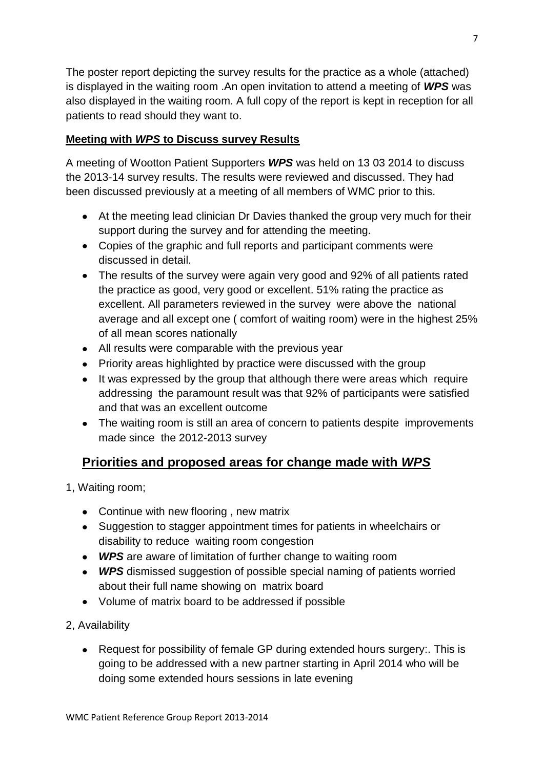The poster report depicting the survey results for the practice as a whole (attached) is displayed in the waiting room .An open invitation to attend a meeting of *WPS* was also displayed in the waiting room. A full copy of the report is kept in reception for all patients to read should they want to.

### **Meeting with** *WPS* **to Discuss survey Results**

A meeting of Wootton Patient Supporters *WPS* was held on 13 03 2014 to discuss the 2013-14 survey results. The results were reviewed and discussed. They had been discussed previously at a meeting of all members of WMC prior to this.

- At the meeting lead clinician Dr Davies thanked the group very much for their support during the survey and for attending the meeting.
- Copies of the graphic and full reports and participant comments were discussed in detail.
- The results of the survey were again very good and 92% of all patients rated the practice as good, very good or excellent. 51% rating the practice as excellent. All parameters reviewed in the survey were above the national average and all except one ( comfort of waiting room) were in the highest 25% of all mean scores nationally
- All results were comparable with the previous year
- Priority areas highlighted by practice were discussed with the group
- It was expressed by the group that although there were areas which require addressing the paramount result was that 92% of participants were satisfied and that was an excellent outcome
- The waiting room is still an area of concern to patients despite improvements made since the 2012-2013 survey

# **Priorities and proposed areas for change made with** *WPS*

- 1, Waiting room;
	- Continue with new flooring, new matrix
	- Suggestion to stagger appointment times for patients in wheelchairs or disability to reduce waiting room congestion
	- *WPS* are aware of limitation of further change to waiting room
	- *WPS* dismissed suggestion of possible special naming of patients worried about their full name showing on matrix board
	- Volume of matrix board to be addressed if possible
- 2, Availability
	- Request for possibility of female GP during extended hours surgery:. This is going to be addressed with a new partner starting in April 2014 who will be doing some extended hours sessions in late evening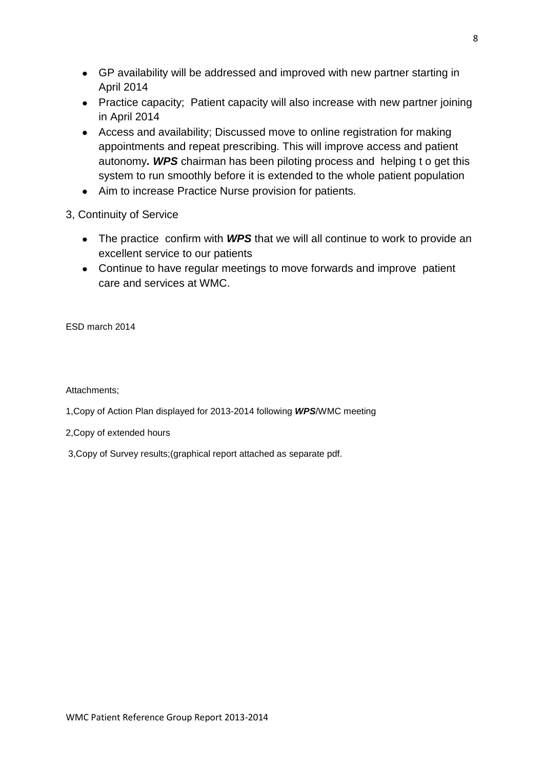- GP availability will be addressed and improved with new partner starting in April 2014
- Practice capacity; Patient capacity will also increase with new partner joining in April 2014
- Access and availability; Discussed move to online registration for making appointments and repeat prescribing. This will improve access and patient autonomy*. WPS* chairman has been piloting process and helping t o get this system to run smoothly before it is extended to the whole patient population
- Aim to increase Practice Nurse provision for patients.

3, Continuity of Service

- The practice confirm with **WPS** that we will all continue to work to provide an excellent service to our patients
- Continue to have regular meetings to move forwards and improve patient care and services at WMC.

ESD march 2014

Attachments;

1,Copy of Action Plan displayed for 2013-2014 following *WPS*/WMC meeting

2,Copy of extended hours

3,Copy of Survey results;(graphical report attached as separate pdf.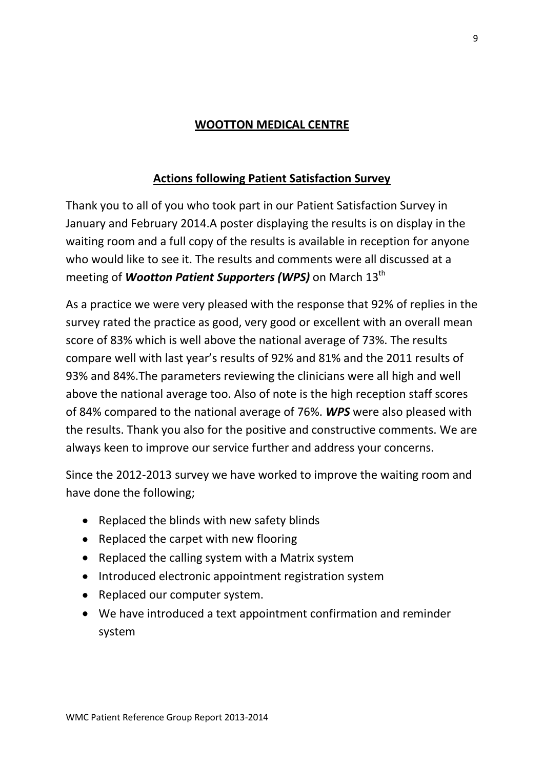# **WOOTTON MEDICAL CENTRE**

### **Actions following Patient Satisfaction Survey**

Thank you to all of you who took part in our Patient Satisfaction Survey in January and February 2014.A poster displaying the results is on display in the waiting room and a full copy of the results is available in reception for anyone who would like to see it. The results and comments were all discussed at a meeting of *Wootton Patient Supporters (WPS)* on March 13<sup>th</sup>

As a practice we were very pleased with the response that 92% of replies in the survey rated the practice as good, very good or excellent with an overall mean score of 83% which is well above the national average of 73%. The results compare well with last year's results of 92% and 81% and the 2011 results of 93% and 84%.The parameters reviewing the clinicians were all high and well above the national average too. Also of note is the high reception staff scores of 84% compared to the national average of 76%. *WPS* were also pleased with the results. Thank you also for the positive and constructive comments. We are always keen to improve our service further and address your concerns.

Since the 2012-2013 survey we have worked to improve the waiting room and have done the following;

- Replaced the blinds with new safety blinds
- Replaced the carpet with new flooring
- Replaced the calling system with a Matrix system
- Introduced electronic appointment registration system
- Replaced our computer system.
- We have introduced a text appointment confirmation and reminder system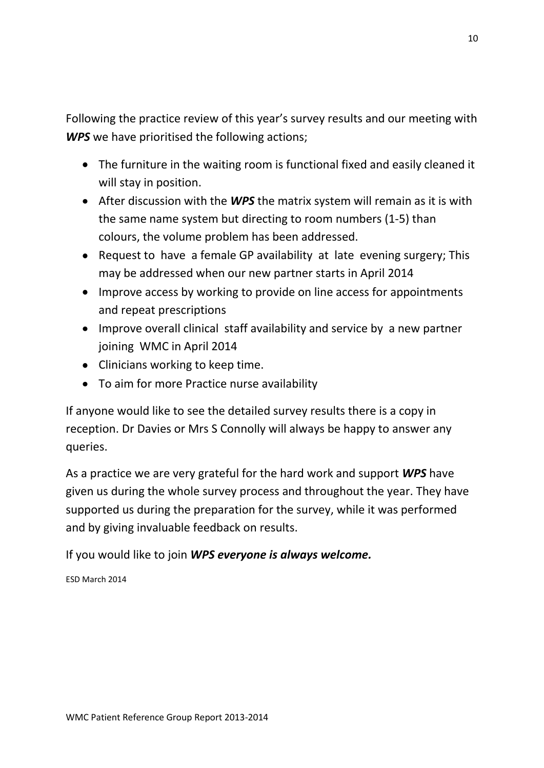Following the practice review of this year's survey results and our meeting with *WPS* we have prioritised the following actions;

- The furniture in the waiting room is functional fixed and easily cleaned it will stay in position.
- After discussion with the *WPS* the matrix system will remain as it is with the same name system but directing to room numbers (1-5) than colours, the volume problem has been addressed.
- Request to have a female GP availability at late evening surgery: This may be addressed when our new partner starts in April 2014
- Improve access by working to provide on line access for appointments and repeat prescriptions
- Improve overall clinical staff availability and service by a new partner joining WMC in April 2014
- Clinicians working to keep time.
- To aim for more Practice nurse availability

If anyone would like to see the detailed survey results there is a copy in reception. Dr Davies or Mrs S Connolly will always be happy to answer any queries.

As a practice we are very grateful for the hard work and support *WPS* have given us during the whole survey process and throughout the year. They have supported us during the preparation for the survey, while it was performed and by giving invaluable feedback on results.

If you would like to join *WPS everyone is always welcome.*

ESD March 2014